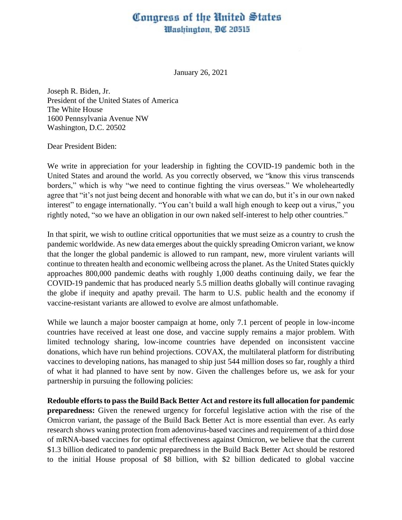## Congress of the United States Washington, DC 20515

January 26, 2021

Joseph R. Biden, Jr. President of the United States of America The White House 1600 Pennsylvania Avenue NW Washington, D.C. 20502

Dear President Biden:

We write in appreciation for your leadership in fighting the COVID-19 pandemic both in the United States and around the world. As you correctly observed, we "know this virus transcends borders," which is why "we need to continue fighting the virus overseas." We wholeheartedly agree that "it's not just being decent and honorable with what we can do, but it's in our own naked interest" to engage internationally. "You can't build a wall high enough to keep out a virus," you rightly noted, "so we have an obligation in our own naked self-interest to help other countries."

In that spirit, we wish to outline critical opportunities that we must seize as a country to crush the pandemic worldwide. As new data emerges about the quickly spreading Omicron variant, we know that the longer the global pandemic is allowed to run rampant, new, more virulent variants will continue to threaten health and economic wellbeing across the planet. As the United States quickly approaches 800,000 pandemic deaths with roughly 1,000 deaths continuing daily, we fear the COVID-19 pandemic that has produced nearly 5.5 million deaths globally will continue ravaging the globe if inequity and apathy prevail. The harm to U.S. public health and the economy if vaccine-resistant variants are allowed to evolve are almost unfathomable.

While we launch a major booster campaign at home, only 7.1 percent of people in low-income countries have received at least one dose, and vaccine supply remains a major problem. With limited technology sharing, low-income countries have depended on inconsistent vaccine donations, which have run behind projections. COVAX, the multilateral platform for distributing vaccines to developing nations, has managed to ship just 544 million doses so far, roughly a third of what it had planned to have sent by now. Given the challenges before us, we ask for your partnership in pursuing the following policies:

**Redouble efforts to pass the Build Back Better Act and restore itsfull allocation for pandemic preparedness:** Given the renewed urgency for forceful legislative action with the rise of the Omicron variant, the passage of the Build Back Better Act is more essential than ever. As early research shows waning protection from adenovirus-based vaccines and requirement of a third dose of mRNA-based vaccines for optimal effectiveness against Omicron, we believe that the current \$1.3 billion dedicated to pandemic preparedness in the Build Back Better Act should be restored to the initial House proposal of \$8 billion, with \$2 billion dedicated to global vaccine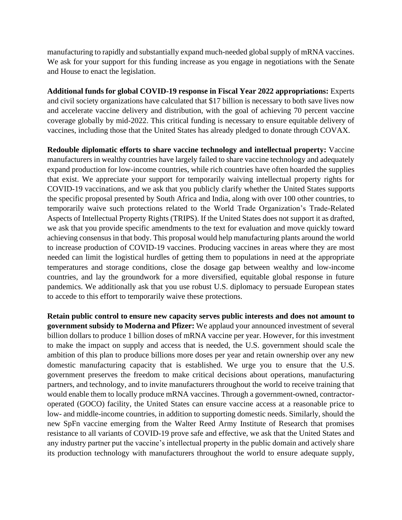manufacturing to rapidly and substantially expand much-needed global supply of mRNA vaccines. We ask for your support for this funding increase as you engage in negotiations with the Senate and House to enact the legislation.

**Additional funds for global COVID-19 response in Fiscal Year 2022 appropriations:** Experts and civil society organizations have calculated that \$17 billion is necessary to both save lives now and accelerate vaccine delivery and distribution, with the goal of achieving 70 percent vaccine coverage globally by mid-2022. This critical funding is necessary to ensure equitable delivery of vaccines, including those that the United States has already pledged to donate through COVAX.

**Redouble diplomatic efforts to share vaccine technology and intellectual property:** Vaccine manufacturers in wealthy countries have largely failed to share vaccine technology and adequately expand production for low-income countries, while rich countries have often hoarded the supplies that exist. We appreciate your support for temporarily waiving intellectual property rights for COVID-19 vaccinations, and we ask that you publicly clarify whether the United States supports the specific proposal presented by South Africa and India, along with over 100 other countries, to temporarily waive such protections related to the World Trade Organization's Trade-Related Aspects of Intellectual Property Rights (TRIPS). If the United States does not support it as drafted, we ask that you provide specific amendments to the text for evaluation and move quickly toward achieving consensus in that body. This proposal would help manufacturing plants around the world to increase production of COVID-19 vaccines. Producing vaccines in areas where they are most needed can limit the logistical hurdles of getting them to populations in need at the appropriate temperatures and storage conditions, close the dosage gap between wealthy and low-income countries, and lay the groundwork for a more diversified, equitable global response in future pandemics. We additionally ask that you use robust U.S. diplomacy to persuade European states to accede to this effort to temporarily waive these protections.

**Retain public control to ensure new capacity serves public interests and does not amount to government subsidy to Moderna and Pfizer:** We applaud your announced investment of several billion dollars to produce 1 billion doses of mRNA vaccine per year. However, for this investment to make the impact on supply and access that is needed, the U.S. government should scale the ambition of this plan to produce billions more doses per year and retain ownership over any new domestic manufacturing capacity that is established. We urge you to ensure that the U.S. government preserves the freedom to make critical decisions about operations, manufacturing partners, and technology, and to invite manufacturers throughout the world to receive training that would enable them to locally produce mRNA vaccines. Through a government-owned, contractoroperated (GOCO) facility, the United States can ensure vaccine access at a reasonable price to low- and middle-income countries, in addition to supporting domestic needs. Similarly, should the new SpFn vaccine emerging from the Walter Reed Army Institute of Research that promises resistance to all variants of COVID-19 prove safe and effective, we ask that the United States and any industry partner put the vaccine's intellectual property in the public domain and actively share its production technology with manufacturers throughout the world to ensure adequate supply,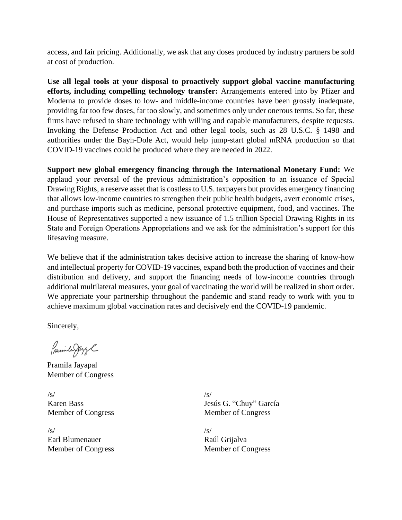access, and fair pricing. Additionally, we ask that any doses produced by industry partners be sold at cost of production.

**Use all legal tools at your disposal to proactively support global vaccine manufacturing efforts, including compelling technology transfer:** Arrangements entered into by Pfizer and Moderna to provide doses to low- and middle-income countries have been grossly inadequate, providing far too few doses, far too slowly, and sometimes only under onerous terms. So far, these firms have refused to share technology with willing and capable manufacturers, despite requests. Invoking the Defense Production Act and other legal tools, such as 28 U.S.C. § 1498 and authorities under the Bayh-Dole Act, would help jump-start global mRNA production so that COVID-19 vaccines could be produced where they are needed in 2022.

**Support new global emergency financing through the International Monetary Fund:** We applaud your reversal of the previous administration's opposition to an issuance of Special Drawing Rights, a reserve asset that is costless to U.S. taxpayers but provides emergency financing that allows low-income countries to strengthen their public health budgets, avert economic crises, and purchase imports such as medicine, personal protective equipment, food, and vaccines. The House of Representatives supported a new issuance of 1.5 trillion Special Drawing Rights in its State and Foreign Operations Appropriations and we ask for the administration's support for this lifesaving measure.

We believe that if the administration takes decisive action to increase the sharing of know-how and intellectual property for COVID-19 vaccines, expand both the production of vaccines and their distribution and delivery, and support the financing needs of low-income countries through additional multilateral measures, your goal of vaccinating the world will be realized in short order. We appreciate your partnership throughout the pandemic and stand ready to work with you to achieve maximum global vaccination rates and decisively end the COVID-19 pandemic.

Sincerely,

Premile Juge

Pramila Jayapal Member of Congress

 $\sqrt{s}$ Karen Bass Member of Congress

 $\sqrt{s}$ Earl Blumenauer Member of Congress /s/ Jesús G. "Chuy" García Member of Congress

 $\sqrt{s}$ Raúl Grijalva Member of Congress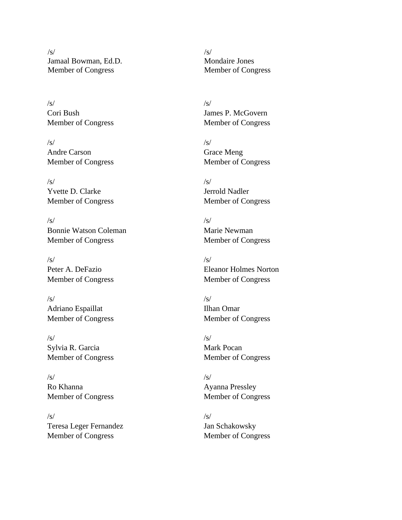$/s/$ Jamaal Bowman, Ed.D. Member of Congress

/s/ Cori Bush Member of Congress

 $/s/$ Andre Carson Member of Congress

/s/ Yvette D. Clarke Member of Congress

 $\sqrt{s}$ Bonnie Watson Coleman Member of Congress

/s/ Peter A. DeFazio Member of Congress

 $/s/$ Adriano Espaillat Member of Congress

 $\sqrt{s}$ Sylvia R. Garcia Member of Congress

 $/s/$ Ro Khanna Member of Congress

 $\sqrt{s}$ Teresa Leger Fernandez Member of Congress

 $\sqrt{s}$ Mondaire Jones Member of Congress

/s/ James P. McGovern Member of Congress

 $\sqrt{s}$ Grace Meng Member of Congress

/s/ Jerrold Nadler Member of Congress

 $\sqrt{s}$ Marie Newman Member of Congress

/s/ Eleanor Holmes Norton Member of Congress

 $\sqrt{s}$ Ilhan Omar Member of Congress

 $\sqrt{s}$ Mark Pocan Member of Congress

 $\sqrt{s}$ Ayanna Pressley Member of Congress

 $\sqrt{s}$ Jan Schakowsky Member of Congress